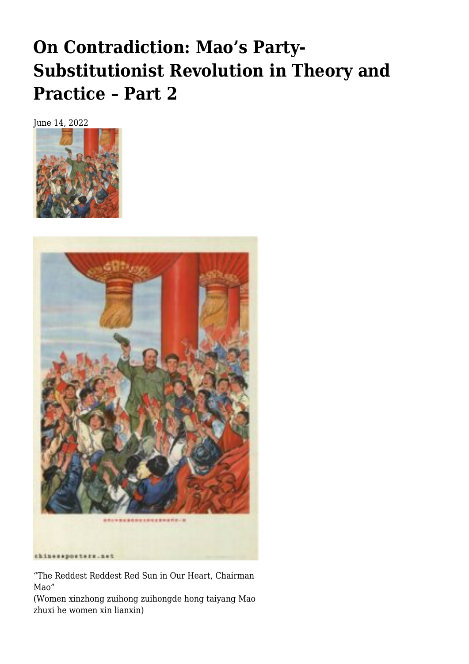# **[On Contradiction: Mao's Party-](https://newpol.org/on-contradiction-maos-party-substitutionist-revolution-in-theory-and-practice-part-2/)[Substitutionist Revolution in Theory and](https://newpol.org/on-contradiction-maos-party-substitutionist-revolution-in-theory-and-practice-part-2/) [Practice – Part 2](https://newpol.org/on-contradiction-maos-party-substitutionist-revolution-in-theory-and-practice-part-2/)**

June 14, 2022





"The Reddest Reddest Red Sun in Our Heart, Chairman Mao"

(Women xinzhong zuihong zuihongde hong taiyang Mao zhuxi he women xin lianxin)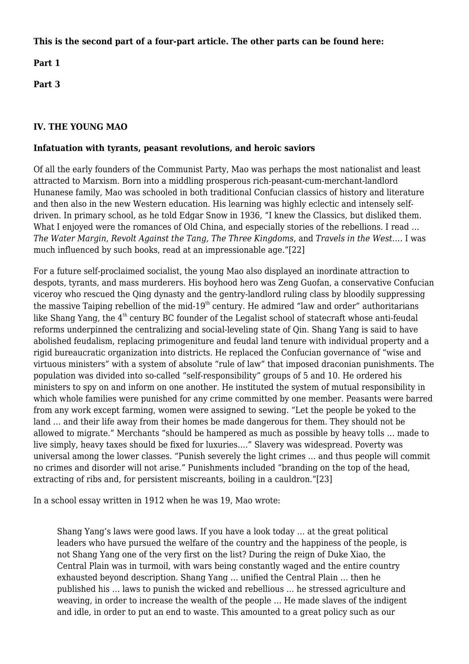**This is the second part of a four-part article. The other parts can be found here:**

**[Part 1](https://newpol.org/on-contradiction-maos-party-substitutionist-revolution-in-theory-and-practice-part-1/)**

**[Part 3](https://newpol.org/on-contradiction-maos-party-substitutionist-revolution-in-theory-and-practice-part-3/)**

### **IV. THE YOUNG MAO**

#### **Infatuation with tyrants, peasant revolutions, and heroic saviors**

Of all the early founders of the Communist Party, Mao was perhaps the most nationalist and least attracted to Marxism. Born into a middling prosperous rich-peasant-cum-merchant-landlord Hunanese family, Mao was schooled in both traditional Confucian classics of history and literature and then also in the new Western education. His learning was highly eclectic and intensely selfdriven. In primary school, as he told Edgar Snow in 1936, "I knew the Classics, but disliked them. What I enjoyed were the romances of Old China, and especially stories of the rebellions. I read ... *The Water Margin, Revolt Against the Tang, The Three Kingdoms*, and *Travels in the West*…. I was much influenced by such books, read at an impressionable age."[\[22\]](#page-10-0)

<span id="page-1-0"></span>For a future self-proclaimed socialist, the young Mao also displayed an inordinate attraction to despots, tyrants, and mass murderers. His boyhood hero was Zeng Guofan, a conservative Confucian viceroy who rescued the Qing dynasty and the gentry-landlord ruling class by bloodily suppressing the massive Taiping rebellion of the mid- $19<sup>th</sup>$  century. He admired "law and order" authoritarians like Shang Yang, the 4<sup>th</sup> century BC founder of the Legalist school of statecraft whose anti-feudal reforms underpinned the centralizing and social-leveling state of Qin. Shang Yang is said to have abolished feudalism, replacing primogeniture and feudal land tenure with individual property and a rigid bureaucratic organization into districts. He replaced the Confucian governance of "wise and virtuous ministers" with a system of absolute "rule of law" that imposed draconian punishments. The population was divided into so-called "self-responsibility" groups of 5 and 10. He ordered his ministers to spy on and inform on one another. He instituted the system of mutual responsibility in which whole families were punished for any crime committed by one member. Peasants were barred from any work except farming, women were assigned to sewing. "Let the people be yoked to the land … and their life away from their homes be made dangerous for them. They should not be allowed to migrate." Merchants "should be hampered as much as possible by heavy tolls … made to live simply, heavy taxes should be fixed for luxuries…." Slavery was widespread. Poverty was universal among the lower classes. "Punish severely the light crimes … and thus people will commit no crimes and disorder will not arise." Punishments included "branding on the top of the head, extracting of ribs and, for persistent miscreants, boiling in a cauldron."[\[23\]](#page-10-1)

<span id="page-1-1"></span>In a school essay written in 1912 when he was 19, Mao wrote:

<span id="page-1-2"></span>Shang Yang's laws were good laws. If you have a look today … at the great political leaders who have pursued the welfare of the country and the happiness of the people, is not Shang Yang one of the very first on the list? During the reign of Duke Xiao, the Central Plain was in turmoil, with wars being constantly waged and the entire country exhausted beyond description. Shang Yang … unified the Central Plain … then he published his … laws to punish the wicked and rebellious … he stressed agriculture and weaving, in order to increase the wealth of the people … He made slaves of the indigent and idle, in order to put an end to waste. This amounted to a great policy such as our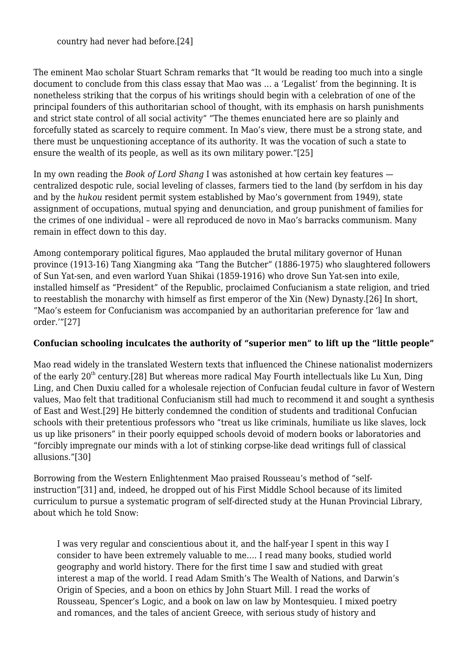country had never had before.[\[24\]](#page-10-2)

The eminent Mao scholar Stuart Schram remarks that "It would be reading too much into a single document to conclude from this class essay that Mao was … a 'Legalist' from the beginning. It is nonetheless striking that the corpus of his writings should begin with a celebration of one of the principal founders of this authoritarian school of thought, with its emphasis on harsh punishments and strict state control of all social activity" "The themes enunciated here are so plainly and forcefully stated as scarcely to require comment. In Mao's view, there must be a strong state, and there must be unquestioning acceptance of its authority. It was the vocation of such a state to ensure the wealth of its people, as well as its own military power.["\[25\]](#page-10-3)

<span id="page-2-0"></span>In my own reading the *Book of Lord Shang* I was astonished at how certain key features centralized despotic rule, social leveling of classes, farmers tied to the land (by serfdom in his day and by the *hukou* resident permit system established by Mao's government from 1949), state assignment of occupations, mutual spying and denunciation, and group punishment of families for the crimes of one individual – were all reproduced de novo in Mao's barracks communism. Many remain in effect down to this day.

Among contemporary political figures, Mao applauded the brutal military governor of Hunan province (1913-16) Tang Xiangming aka "Tang the Butcher" (1886-1975) who slaughtered followers of Sun Yat-sen, and even warlord Yuan Shikai (1859-1916) who drove Sun Yat-sen into exile, installed himself as "President" of the Republic, proclaimed Confucianism a state religion, and tried to reestablish the monarchy with himself as first emperor of the Xin (New) Dynasty.[\[26\]](#page-10-4) In short, "Mao's esteem for Confucianism was accompanied by an authoritarian preference for 'law and order.'["\[27\]](#page-10-5)

# <span id="page-2-2"></span><span id="page-2-1"></span>**Confucian schooling inculcates the authority of "superior men" to lift up the "little people"**

<span id="page-2-4"></span><span id="page-2-3"></span>Mao read widely in the translated Western texts that influenced the Chinese nationalist modernizers of the early 20<sup>th</sup> century[.\[28\]](#page-10-6) But whereas more radical May Fourth intellectuals like Lu Xun, Ding Ling, and Chen Duxiu called for a wholesale rejection of Confucian feudal culture in favor of Western values, Mao felt that traditional Confucianism still had much to recommend it and sought a synthesis of East and West.[\[29\]](#page-10-7) He bitterly condemned the condition of students and traditional Confucian schools with their pretentious professors who "treat us like criminals, humiliate us like slaves, lock us up like prisoners" in their poorly equipped schools devoid of modern books or laboratories and "forcibly impregnate our minds with a lot of stinking corpse-like dead writings full of classical allusions."[\[30\]](#page-10-8)

<span id="page-2-6"></span><span id="page-2-5"></span>Borrowing from the Western Enlightenment Mao praised Rousseau's method of "selfinstruction["\[31\]](#page-10-9) and, indeed, he dropped out of his First Middle School because of its limited curriculum to pursue a systematic program of self-directed study at the Hunan Provincial Library, about which he told Snow:

<span id="page-2-7"></span>I was very regular and conscientious about it, and the half-year I spent in this way I consider to have been extremely valuable to me…. I read many books, studied world geography and world history. There for the first time I saw and studied with great interest a map of the world. I read Adam Smith's The Wealth of Nations, and Darwin's Origin of Species, and a boon on ethics by John Stuart Mill. I read the works of Rousseau, Spencer's Logic, and a book on law on law by Montesquieu. I mixed poetry and romances, and the tales of ancient Greece, with serious study of history and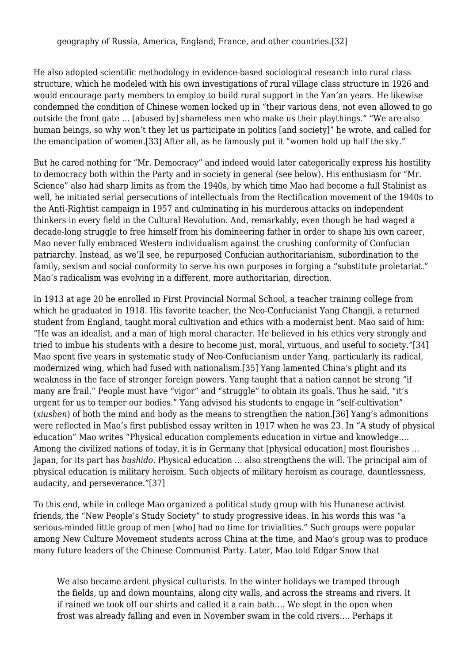He also adopted scientific methodology in evidence-based sociological research into rural class structure, which he modeled with his own investigations of rural village class structure in 1926 and would encourage party members to employ to build rural support in the Yan'an years. He likewise condemned the condition of Chinese women locked up in "their various dens, not even allowed to go outside the front gate … [abused by] shameless men who make us their playthings." "We are also human beings, so why won't they let us participate in politics [and society]" he wrote, and called for the emancipation of women.[\[33\]](#page-10-11) After all, as he famously put it "women hold up half the sky."

<span id="page-3-0"></span>But he cared nothing for "Mr. Democracy" and indeed would later categorically express his hostility to democracy both within the Party and in society in general (see below). His enthusiasm for "Mr. Science" also had sharp limits as from the 1940s, by which time Mao had become a full Stalinist as well, he initiated serial persecutions of intellectuals from the Rectification movement of the 1940s to the Anti-Rightist campaign in 1957 and culminating in his murderous attacks on independent thinkers in every field in the Cultural Revolution. And, remarkably, even though he had waged a decade-long struggle to free himself from his domineering father in order to shape his own career, Mao never fully embraced Western individualism against the crushing conformity of Confucian patriarchy. Instead, as we'll see, he repurposed Confucian authoritarianism, subordination to the family, sexism and social conformity to serve his own purposes in forging a "substitute proletariat." Mao's radicalism was evolving in a different, more authoritarian, direction.

<span id="page-3-2"></span><span id="page-3-1"></span>In 1913 at age 20 he enrolled in First Provincial Normal School, a teacher training college from which he graduated in 1918. His favorite teacher, the Neo-Confucianist Yang Changji, a returned student from England, taught moral cultivation and ethics with a modernist bent. Mao said of him: "He was an idealist, and a man of high moral character. He believed in his ethics very strongly and tried to imbue his students with a desire to become just, moral, virtuous, and useful to society.["\[34\]](#page-10-12) Mao spent five years in systematic study of Neo-Confucianism under Yang, particularly its radical, modernized wing, which had fused with nationalism.[\[35\]](#page-10-13) Yang lamented China's plight and its weakness in the face of stronger foreign powers. Yang taught that a nation cannot be strong "if many are frail." People must have "vigor" and "struggle" to obtain its goals. Thus he said, "it's urgent for us to temper our bodies." Yang advised his students to engage in "self-cultivation" (*xiushen*) of both the mind and body as the means to strengthen the nation[.\[36\]](#page-10-14) Yang's admonitions were reflected in Mao's first published essay written in 1917 when he was 23. In "A study of physical education" Mao writes "Physical education complements education in virtue and knowledge…. Among the civilized nations of today, it is in Germany that [physical education] most flourishes … Japan, for its part has *bushido*. Physical education … also strengthens the will. The principal aim of physical education is military heroism. Such objects of military heroism as courage, dauntlessness, audacity, and perseverance.["\[37\]](#page-10-15)

<span id="page-3-4"></span><span id="page-3-3"></span>To this end, while in college Mao organized a political study group with his Hunanese activist friends, the "New People's Study Society" to study progressive ideas. In his words this was "a serious-minded little group of men [who] had no time for trivialities." Such groups were popular among New Culture Movement students across China at the time, and Mao's group was to produce many future leaders of the Chinese Communist Party. Later, Mao told Edgar Snow that

We also became ardent physical culturists. In the winter holidays we tramped through the fields, up and down mountains, along city walls, and across the streams and rivers. It if rained we took off our shirts and called it a rain bath…. We slept in the open when frost was already falling and even in November swam in the cold rivers…. Perhaps it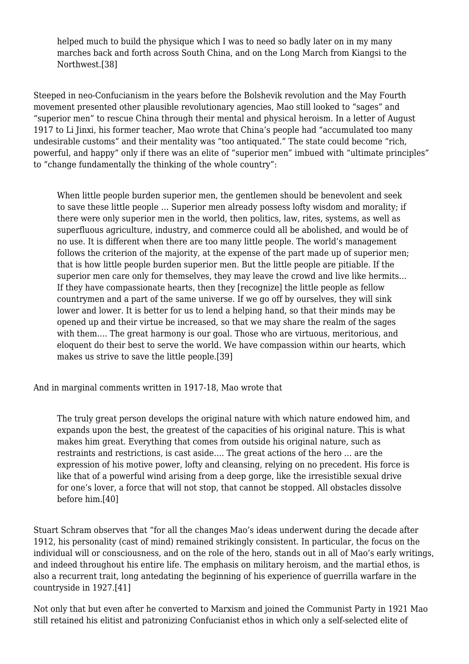helped much to build the physique which I was to need so badly later on in my many marches back and forth across South China, and on the Long March from Kiangsi to the Northwest.[\[38\]](#page-11-0)

<span id="page-4-0"></span>Steeped in neo-Confucianism in the years before the Bolshevik revolution and the May Fourth movement presented other plausible revolutionary agencies, Mao still looked to "sages" and "superior men" to rescue China through their mental and physical heroism. In a letter of August 1917 to Li Jinxi, his former teacher, Mao wrote that China's people had "accumulated too many undesirable customs" and their mentality was "too antiquated." The state could become "rich, powerful, and happy" only if there was an elite of "superior men" imbued with "ultimate principles" to "change fundamentally the thinking of the whole country":

When little people burden superior men, the gentlemen should be benevolent and seek to save these little people … Superior men already possess lofty wisdom and morality; if there were only superior men in the world, then politics, law, rites, systems, as well as superfluous agriculture, industry, and commerce could all be abolished, and would be of no use. It is different when there are too many little people. The world's management follows the criterion of the majority, at the expense of the part made up of superior men; that is how little people burden superior men. But the little people are pitiable. If the superior men care only for themselves, they may leave the crowd and live like hermits… If they have compassionate hearts, then they [recognize] the little people as fellow countrymen and a part of the same universe. If we go off by ourselves, they will sink lower and lower. It is better for us to lend a helping hand, so that their minds may be opened up and their virtue be increased, so that we may share the realm of the sages with them.... The great harmony is our goal. Those who are virtuous, meritorious, and eloquent do their best to serve the world. We have compassion within our hearts, which makes us strive to save the little people[.\[39\]](#page-11-1)

<span id="page-4-1"></span>And in marginal comments written in 1917-18, Mao wrote that

The truly great person develops the original nature with which nature endowed him, and expands upon the best, the greatest of the capacities of his original nature. This is what makes him great. Everything that comes from outside his original nature, such as restraints and restrictions, is cast aside…. The great actions of the hero … are the expression of his motive power, lofty and cleansing, relying on no precedent. His force is like that of a powerful wind arising from a deep gorge, like the irresistible sexual drive for one's lover, a force that will not stop, that cannot be stopped. All obstacles dissolve before him[.\[40\]](#page-11-2)

<span id="page-4-2"></span>Stuart Schram observes that "for all the changes Mao's ideas underwent during the decade after 1912, his personality (cast of mind) remained strikingly consistent. In particular, the focus on the individual will or consciousness, and on the role of the hero, stands out in all of Mao's early writings, and indeed throughout his entire life. The emphasis on military heroism, and the martial ethos, is also a recurrent trait, long antedating the beginning of his experience of guerrilla warfare in the countryside in 1927.[\[41\]](#page-11-3)

<span id="page-4-3"></span>Not only that but even after he converted to Marxism and joined the Communist Party in 1921 Mao still retained his elitist and patronizing Confucianist ethos in which only a self-selected elite of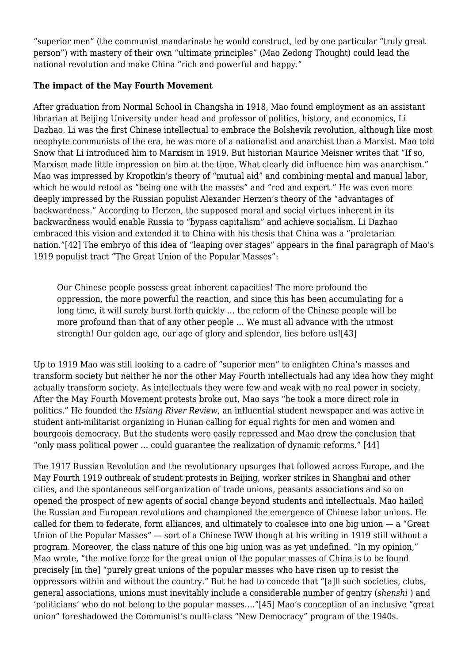"superior men" (the communist mandarinate he would construct, led by one particular "truly great person") with mastery of their own "ultimate principles" (Mao Zedong Thought) could lead the national revolution and make China "rich and powerful and happy."

# **The impact of the May Fourth Movement**

After graduation from Normal School in Changsha in 1918, Mao found employment as an assistant librarian at Beijing University under head and professor of politics, history, and economics, Li Dazhao. Li was the first Chinese intellectual to embrace the Bolshevik revolution, although like most neophyte communists of the era, he was more of a nationalist and anarchist than a Marxist. Mao told Snow that Li introduced him to Marxism in 1919. But historian Maurice Meisner writes that "If so, Marxism made little impression on him at the time. What clearly did influence him was anarchism." Mao was impressed by Kropotkin's theory of "mutual aid" and combining mental and manual labor, which he would retool as "being one with the masses" and "red and expert." He was even more deeply impressed by the Russian populist Alexander Herzen's theory of the "advantages of backwardness." According to Herzen, the supposed moral and social virtues inherent in its backwardness would enable Russia to "bypass capitalism" and achieve socialism. Li Dazhao embraced this vision and extended it to China with his thesis that China was a "proletarian nation.["\[42\]](#page-11-4) The embryo of this idea of "leaping over stages" appears in the final paragraph of Mao's 1919 populist tract "The Great Union of the Popular Masses":

<span id="page-5-0"></span>Our Chinese people possess great inherent capacities! The more profound the oppression, the more powerful the reaction, and since this has been accumulating for a long time, it will surely burst forth quickly … the reform of the Chinese people will be more profound than that of any other people … We must all advance with the utmost strength! Our golden age, our age of glory and splendor, lies before us![\[43\]](#page-11-5)

<span id="page-5-1"></span>Up to 1919 Mao was still looking to a cadre of "superior men" to enlighten China's masses and transform society but neither he nor the other May Fourth intellectuals had any idea how they might actually transform society. As intellectuals they were few and weak with no real power in society. After the May Fourth Movement protests broke out, Mao says "he took a more direct role in politics." He founded the *Hsiang River Review*, an influential student newspaper and was active in student anti-militarist organizing in Hunan calling for equal rights for men and women and bourgeois democracy. But the students were easily repressed and Mao drew the conclusion that "only mass political power … could guarantee the realization of dynamic reforms." [\[44\]](#page-11-6)

<span id="page-5-3"></span><span id="page-5-2"></span>The 1917 Russian Revolution and the revolutionary upsurges that followed across Europe, and the May Fourth 1919 outbreak of student protests in Beijing, worker strikes in Shanghai and other cities, and the spontaneous self-organization of trade unions, peasants associations and so on opened the prospect of new agents of social change beyond students and intellectuals. Mao hailed the Russian and European revolutions and championed the emergence of Chinese labor unions. He called for them to federate, form alliances, and ultimately to coalesce into one big union — a "Great Union of the Popular Masses" — sort of a Chinese IWW though at his writing in 1919 still without a program. Moreover, the class nature of this one big union was as yet undefined. "In my opinion," Mao wrote, "the motive force for the great union of the popular masses of China is to be found precisely [in the] "purely great unions of the popular masses who have risen up to resist the oppressors within and without the country." But he had to concede that "[a]ll such societies, clubs, general associations, unions must inevitably include a considerable number of gentry (*shenshi* ) and 'politicians' who do not belong to the popular masses…."[\[45\]](#page-11-7) Mao's conception of an inclusive "great union" foreshadowed the Communist's multi-class "New Democracy" program of the 1940s.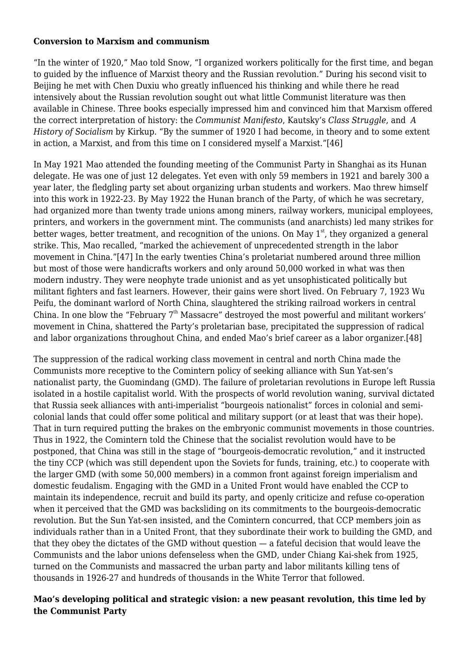#### **Conversion to Marxism and communism**

"In the winter of 1920," Mao told Snow, "I organized workers politically for the first time, and began to guided by the influence of Marxist theory and the Russian revolution." During his second visit to Beijing he met with Chen Duxiu who greatly influenced his thinking and while there he read intensively about the Russian revolution sought out what little Communist literature was then available in Chinese. Three books especially impressed him and convinced him that Marxism offered the correct interpretation of history: the *Communist Manifesto*, Kautsky's *Class Struggle*, and *A History of Socialism* by Kirkup. "By the summer of 1920 I had become, in theory and to some extent in action, a Marxist, and from this time on I considered myself a Marxist."[\[46\]](#page-11-8)

<span id="page-6-1"></span><span id="page-6-0"></span>In May 1921 Mao attended the founding meeting of the Communist Party in Shanghai as its Hunan delegate. He was one of just 12 delegates. Yet even with only 59 members in 1921 and barely 300 a year later, the fledgling party set about organizing urban students and workers. Mao threw himself into this work in 1922-23. By May 1922 the Hunan branch of the Party, of which he was secretary, had organized more than twenty trade unions among miners, railway workers, municipal employees, printers, and workers in the government mint. The communists (and anarchists) led many strikes for better wages, better treatment, and recognition of the unions. On May  $1<sup>st</sup>$ , they organized a general strike. This, Mao recalled, "marked the achievement of unprecedented strength in the labor movement in China.["\[47\]](#page-11-9) In the early twenties China's proletariat numbered around three million but most of those were handicrafts workers and only around 50,000 worked in what was then modern industry. They were neophyte trade unionist and as yet unsophisticated politically but militant fighters and fast learners. However, their gains were short lived. On February 7, 1923 Wu Peifu, the dominant warlord of North China, slaughtered the striking railroad workers in central China. In one blow the "February  $7<sup>th</sup>$  Massacre" destroyed the most powerful and militant workers' movement in China, shattered the Party's proletarian base, precipitated the suppression of radical and labor organizations throughout China, and ended Mao's brief career as a labor organizer.[\[48\]](#page-11-10)

<span id="page-6-2"></span>The suppression of the radical working class movement in central and north China made the Communists more receptive to the Comintern policy of seeking alliance with Sun Yat-sen's nationalist party, the Guomindang (GMD). The failure of proletarian revolutions in Europe left Russia isolated in a hostile capitalist world. With the prospects of world revolution waning, survival dictated that Russia seek alliances with anti-imperialist "bourgeois nationalist" forces in colonial and semicolonial lands that could offer some political and military support (or at least that was their hope). That in turn required putting the brakes on the embryonic communist movements in those countries. Thus in 1922, the Comintern told the Chinese that the socialist revolution would have to be postponed, that China was still in the stage of "bourgeois-democratic revolution," and it instructed the tiny CCP (which was still dependent upon the Soviets for funds, training, etc.) to cooperate with the larger GMD (with some 50,000 members) in a common front against foreign imperialism and domestic feudalism. Engaging with the GMD in a United Front would have enabled the CCP to maintain its independence, recruit and build its party, and openly criticize and refuse co-operation when it perceived that the GMD was backsliding on its commitments to the bourgeois-democratic revolution. But the Sun Yat-sen insisted, and the Comintern concurred, that CCP members join as individuals rather than in a United Front, that they subordinate their work to building the GMD, and that they obey the dictates of the GMD without question — a fateful decision that would leave the Communists and the labor unions defenseless when the GMD, under Chiang Kai-shek from 1925, turned on the Communists and massacred the urban party and labor militants killing tens of thousands in 1926-27 and hundreds of thousands in the White Terror that followed.

# **Mao's developing political and strategic vision: a new peasant revolution, this time led by the Communist Party**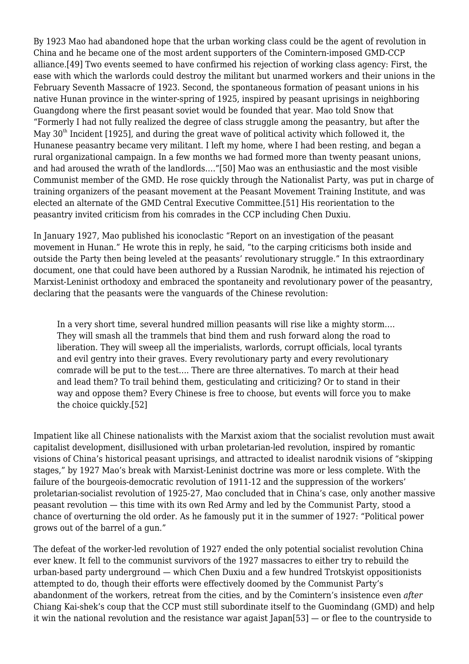<span id="page-7-0"></span>By 1923 Mao had abandoned hope that the urban working class could be the agent of revolution in China and he became one of the most ardent supporters of the Comintern-imposed GMD-CCP alliance.[\[49\]](#page-11-11) Two events seemed to have confirmed his rejection of working class agency: First, the ease with which the warlords could destroy the militant but unarmed workers and their unions in the February Seventh Massacre of 1923. Second, the spontaneous formation of peasant unions in his native Hunan province in the winter-spring of 1925, inspired by peasant uprisings in neighboring Guangdong where the first peasant soviet would be founded that year. Mao told Snow that "Formerly I had not fully realized the degree of class struggle among the peasantry, but after the May  $30<sup>th</sup>$  Incident [1925], and during the great wave of political activity which followed it, the Hunanese peasantry became very militant. I left my home, where I had been resting, and began a rural organizational campaign. In a few months we had formed more than twenty peasant unions, and had aroused the wrath of the landlords…."[\[50\]](#page-11-12) Mao was an enthusiastic and the most visible Communist member of the GMD. He rose quickly through the Nationalist Party, was put in charge of training organizers of the peasant movement at the Peasant Movement Training Institute, and was elected an alternate of the GMD Central Executive Committee[.\[51\]](#page-11-13) His reorientation to the peasantry invited criticism from his comrades in the CCP including Chen Duxiu.

<span id="page-7-2"></span><span id="page-7-1"></span>In January 1927, Mao published his iconoclastic "Report on an investigation of the peasant movement in Hunan." He wrote this in reply, he said, "to the carping criticisms both inside and outside the Party then being leveled at the peasants' revolutionary struggle." In this extraordinary document, one that could have been authored by a Russian Narodnik, he intimated his rejection of Marxist-Leninist orthodoxy and embraced the spontaneity and revolutionary power of the peasantry, declaring that the peasants were the vanguards of the Chinese revolution:

In a very short time, several hundred million peasants will rise like a mighty storm…. They will smash all the trammels that bind them and rush forward along the road to liberation. They will sweep all the imperialists, warlords, corrupt officials, local tyrants and evil gentry into their graves. Every revolutionary party and every revolutionary comrade will be put to the test…. There are three alternatives. To march at their head and lead them? To trail behind them, gesticulating and criticizing? Or to stand in their way and oppose them? Every Chinese is free to choose, but events will force you to make the choice quickly.[\[52\]](#page-11-14)

<span id="page-7-3"></span>Impatient like all Chinese nationalists with the Marxist axiom that the socialist revolution must await capitalist development, disillusioned with urban proletarian-led revolution, inspired by romantic visions of China's historical peasant uprisings, and attracted to idealist narodnik visions of "skipping stages," by 1927 Mao's break with Marxist-Leninist doctrine was more or less complete. With the failure of the bourgeois-democratic revolution of 1911-12 and the suppression of the workers' proletarian-socialist revolution of 1925-27, Mao concluded that in China's case, only another massive peasant revolution — this time with its own Red Army and led by the Communist Party, stood a chance of overturning the old order. As he famously put it in the summer of 1927: "Political power grows out of the barrel of a gun."

<span id="page-7-4"></span>The defeat of the worker-led revolution of 1927 ended the only potential socialist revolution China ever knew. It fell to the communist survivors of the 1927 massacres to either try to rebuild the urban-based party underground — which Chen Duxiu and a few hundred Trotskyist oppositionists attempted to do, though their efforts were effectively doomed by the Communist Party's abandonment of the workers, retreat from the cities, and by the Comintern's insistence even *after* Chiang Kai-shek's coup that the CCP must still subordinate itself to the Guomindang (GMD) and help it win the national revolution and the resistance war agaist Japan[\[53\]](#page-11-15) — or flee to the countryside to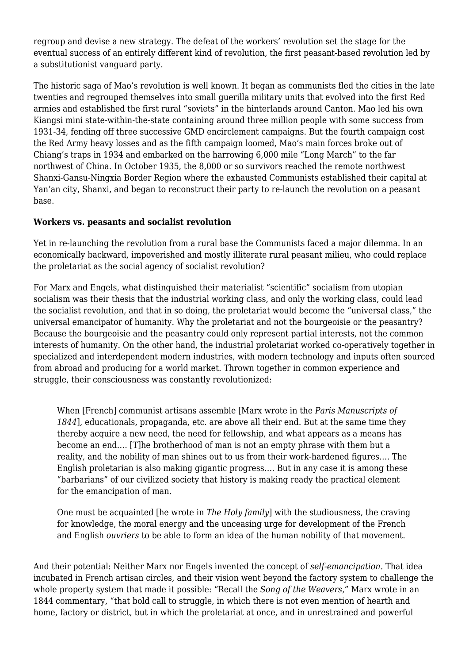regroup and devise a new strategy. The defeat of the workers' revolution set the stage for the eventual success of an entirely different kind of revolution, the first peasant-based revolution led by a substitutionist vanguard party.

The historic saga of Mao's revolution is well known. It began as communists fled the cities in the late twenties and regrouped themselves into small guerilla military units that evolved into the first Red armies and established the first rural "soviets" in the hinterlands around Canton. Mao led his own Kiangsi mini state-within-the-state containing around three million people with some success from 1931-34, fending off three successive GMD encirclement campaigns. But the fourth campaign cost the Red Army heavy losses and as the fifth campaign loomed, Mao's main forces broke out of Chiang's traps in 1934 and embarked on the harrowing 6,000 mile "Long March" to the far northwest of China. In October 1935, the 8,000 or so survivors reached the remote northwest Shanxi-Gansu-Ningxia Border Region where the exhausted Communists established their capital at Yan'an city, Shanxi, and began to reconstruct their party to re-launch the revolution on a peasant base.

#### **Workers vs. peasants and socialist revolution**

Yet in re-launching the revolution from a rural base the Communists faced a major dilemma. In an economically backward, impoverished and mostly illiterate rural peasant milieu, who could replace the proletariat as the social agency of socialist revolution?

For Marx and Engels, what distinguished their materialist "scientific" socialism from utopian socialism was their thesis that the industrial working class, and only the working class, could lead the socialist revolution, and that in so doing, the proletariat would become the "universal class," the universal emancipator of humanity. Why the proletariat and not the bourgeoisie or the peasantry? Because the bourgeoisie and the peasantry could only represent partial interests, not the common interests of humanity. On the other hand, the industrial proletariat worked co-operatively together in specialized and interdependent modern industries, with modern technology and inputs often sourced from abroad and producing for a world market. Thrown together in common experience and struggle, their consciousness was constantly revolutionized:

When [French] communist artisans assemble [Marx wrote in the *Paris Manuscripts of 1844*], educationals, propaganda, etc. are above all their end. But at the same time they thereby acquire a new need, the need for fellowship, and what appears as a means has become an end…. [T]he brotherhood of man is not an empty phrase with them but a reality, and the nobility of man shines out to us from their work-hardened figures…. The English proletarian is also making gigantic progress…. But in any case it is among these "barbarians" of our civilized society that history is making ready the practical element for the emancipation of man.

One must be acquainted [he wrote in *The Holy family*] with the studiousness, the craving for knowledge, the moral energy and the unceasing urge for development of the French and English *ouvriers* to be able to form an idea of the human nobility of that movement.

And their potential: Neither Marx nor Engels invented the concept of *self-emancipation.* That idea incubated in French artisan circles, and their vision went beyond the factory system to challenge the whole property system that made it possible: "Recall the *Song of the Weavers*," Marx wrote in an 1844 commentary, "that bold call to struggle, in which there is not even mention of hearth and home, factory or district, but in which the proletariat at once, and in unrestrained and powerful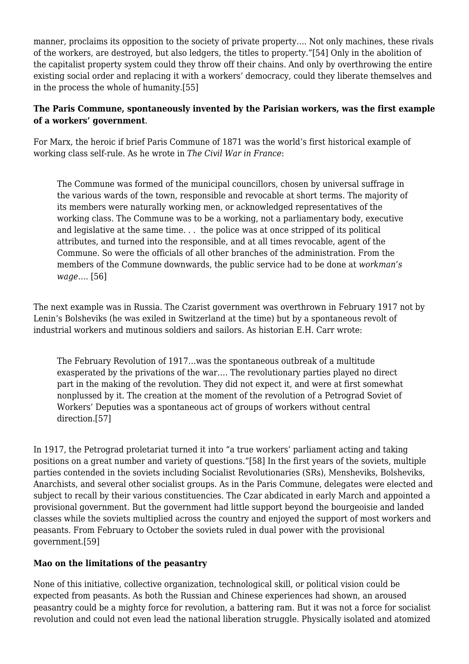<span id="page-9-0"></span>manner, proclaims its opposition to the society of private property…. Not only machines, these rivals of the workers, are destroyed, but also ledgers, the titles to property."[\[54\]](#page-11-16) Only in the abolition of the capitalist property system could they throw off their chains. And only by overthrowing the entire existing social order and replacing it with a workers' democracy, could they liberate themselves and in the process the whole of humanity.[\[55\]](#page-11-17)

### <span id="page-9-1"></span>**The Paris Commune, spontaneously invented by the Parisian workers, was the first example of a workers' government**.

For Marx, the heroic if brief Paris Commune of 1871 was the world's first historical example of working class self-rule. As he wrote in *The Civil War in France*:

The Commune was formed of the municipal councillors, chosen by universal suffrage in the various wards of the town, responsible and revocable at short terms. The majority of its members were naturally working men, or acknowledged representatives of the working class. The Commune was to be a working, not a parliamentary body, executive and legislative at the same time. . . the police was at once stripped of its political attributes, and turned into the responsible, and at all times revocable, agent of the Commune. So were the officials of all other branches of the administration. From the members of the Commune downwards, the public service had to be done at *workman's wage*…. [\[56\]](#page-11-18)

<span id="page-9-2"></span>The next example was in Russia. The Czarist government was overthrown in February 1917 not by Lenin's Bolsheviks (he was exiled in Switzerland at the time) but by a spontaneous revolt of industrial workers and mutinous soldiers and sailors. As historian E.H. Carr wrote:

The February Revolution of 1917…was the spontaneous outbreak of a multitude exasperated by the privations of the war…. The revolutionary parties played no direct part in the making of the revolution. They did not expect it, and were at first somewhat nonplussed by it. The creation at the moment of the revolution of a Petrograd Soviet of Workers' Deputies was a spontaneous act of groups of workers without central direction.[\[57\]](#page-11-19)

<span id="page-9-4"></span><span id="page-9-3"></span>In 1917, the Petrograd proletariat turned it into "a true workers' parliament acting and taking positions on a great number and variety of questions.["\[58\]](#page-11-20) In the first years of the soviets, multiple parties contended in the soviets including Socialist Revolutionaries (SRs), Mensheviks, Bolsheviks, Anarchists, and several other socialist groups. As in the Paris Commune, delegates were elected and subject to recall by their various constituencies. The Czar abdicated in early March and appointed a provisional government. But the government had little support beyond the bourgeoisie and landed classes while the soviets multiplied across the country and enjoyed the support of most workers and peasants. From February to October the soviets ruled in dual power with the provisional government[.\[59\]](#page-11-21)

# <span id="page-9-5"></span>**Mao on the limitations of the peasantry**

None of this initiative, collective organization, technological skill, or political vision could be expected from peasants. As both the Russian and Chinese experiences had shown, an aroused peasantry could be a mighty force for revolution, a battering ram. But it was not a force for socialist revolution and could not even lead the national liberation struggle. Physically isolated and atomized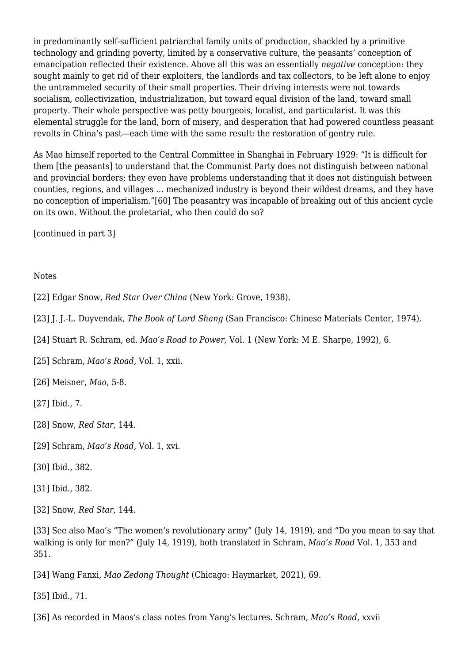in predominantly self-sufficient patriarchal family units of production, shackled by a primitive technology and grinding poverty, limited by a conservative culture, the peasants' conception of emancipation reflected their existence. Above all this was an essentially *negative* conception: they sought mainly to get rid of their exploiters, the landlords and tax collectors, to be left alone to enjoy the untrammeled security of their small properties. Their driving interests were not towards socialism, collectivization, industrialization, but toward equal division of the land, toward small property. Their whole perspective was petty bourgeois, localist, and particularist. It was this elemental struggle for the land, born of misery, and desperation that had powered countless peasant revolts in China's past—each time with the same result: the restoration of gentry rule.

As Mao himself reported to the Central Committee in Shanghai in February 1929: "It is difficult for them [the peasants] to understand that the Communist Party does not distinguish between national and provincial borders; they even have problems understanding that it does not distinguish between counties, regions, and villages … mechanized industry is beyond their wildest dreams, and they have no conception of imperialism."[\[60\]](#page-11-22) The peasantry was incapable of breaking out of this ancient cycle on its own. Without the proletariat, who then could do so?

<span id="page-10-16"></span>[continued in part 3]

#### Notes

<span id="page-10-0"></span>[\[22\]](#page-1-0) Edgar Snow, *Red Star Over China* (New York: Grove, 1938).

<span id="page-10-1"></span>[\[23\]](#page-1-1) J. J.-L. Duyvendak, *The Book of Lord Shang* (San Francisco: Chinese Materials Center, 1974).

<span id="page-10-2"></span>[\[24\]](#page-1-2) Stuart R. Schram, ed. *Mao's Road to Power,* Vol. 1 (New York: M E. Sharpe, 1992), 6.

<span id="page-10-3"></span>[\[25\]](#page-2-0) Schram, *Mao's Road,* Vol. 1, xxii.

<span id="page-10-4"></span>[\[26\]](#page-2-1) Meisner, *Mao*, 5-8.

<span id="page-10-5"></span>[\[27\]](#page-2-2) Ibid., 7.

- <span id="page-10-6"></span>[\[28\]](#page-2-3) Snow, *Red Star*, 144.
- <span id="page-10-7"></span>[\[29\]](#page-2-4) Schram, *Mao's Road,* Vol. 1, xvi.
- <span id="page-10-8"></span>[\[30\]](#page-2-5) Ibid., 382.
- <span id="page-10-9"></span>[\[31\]](#page-2-6) Ibid., 382.
- <span id="page-10-10"></span>[\[32\]](#page-2-7) Snow, *Red Star*, 144.

<span id="page-10-11"></span>[\[33\]](#page-3-0) See also Mao's "The women's revolutionary army" (July 14, 1919), and "Do you mean to say that walking is only for men?" (July 14, 1919), both translated in Schram, *Mao's Road* Vol. 1, 353 and 351.

<span id="page-10-12"></span>[\[34\]](#page-3-1) Wang Fanxi, *Mao Zedong Thought* (Chicago: Haymarket, 2021), 69.

<span id="page-10-13"></span>[\[35\]](#page-3-2) Ibid., 71.

<span id="page-10-15"></span><span id="page-10-14"></span>[\[36\]](#page-3-3) As recorded in Maos's class notes from Yang's lectures. Schram, *Mao's Road,* xxvii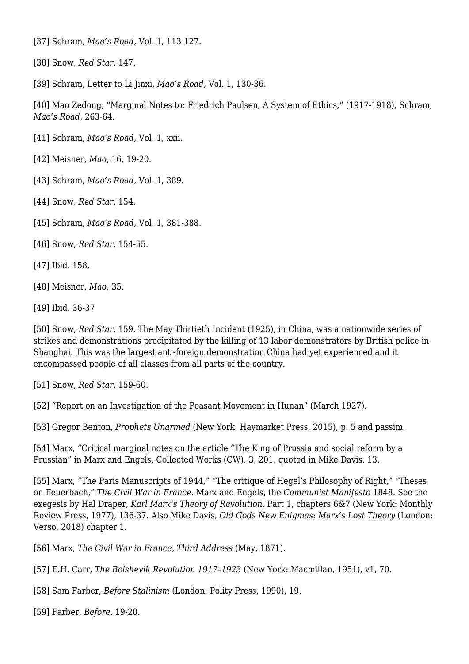[\[37\]](#page-3-4) Schram, *Mao's Road,* Vol. 1, 113-127.

<span id="page-11-0"></span>[\[38\]](#page-4-0) Snow, *Red Star*, 147.

<span id="page-11-1"></span>[\[39\]](#page-4-1) Schram, Letter to Li Jinxi, *Mao's Road,* Vol. 1, 130-36.

<span id="page-11-2"></span>[\[40\]](#page-4-2) Mao Zedong, "Marginal Notes to: Friedrich Paulsen, A System of Ethics," (1917-1918), Schram, *Mao's Road,* 263-64.

<span id="page-11-3"></span>[\[41\]](#page-4-3) Schram, *Mao's Road,* Vol. 1, xxii.

<span id="page-11-4"></span>[\[42\]](#page-5-0) Meisner, *Mao*, 16, 19-20.

<span id="page-11-5"></span>[\[43\]](#page-5-1) Schram, *Mao's Road,* Vol. 1, 389.

<span id="page-11-6"></span>[\[44\]](#page-5-2) Snow, *Red Star*, 154.

<span id="page-11-7"></span>[\[45\]](#page-5-3) Schram, *Mao's Road,* Vol. 1, 381-388.

<span id="page-11-8"></span>[\[46\]](#page-6-0) Snow, *Red Star*, 154-55.

<span id="page-11-9"></span>[\[47\]](#page-6-1) Ibid. 158.

<span id="page-11-10"></span>[\[48\]](#page-6-2) Meisner, *Mao*, 35.

<span id="page-11-11"></span>[\[49\]](#page-7-0) Ibid. 36-37

<span id="page-11-12"></span>[\[50\]](#page-7-1) Snow, *Red Star*, 159. The May Thirtieth Incident (1925), in China, was a nationwide series of strikes and demonstrations precipitated by the killing of 13 labor demonstrators by British police in Shanghai. This was the largest anti-foreign demonstration China had yet experienced and it encompassed people of all classes from all parts of the country.

<span id="page-11-13"></span>[\[51\]](#page-7-2) Snow, *Red Star*, 159-60.

<span id="page-11-14"></span>[\[52\]](#page-7-3) ["Report on an Investigation of the Peasant Movement in Hunan"](https://www.marxists.org/reference/archive/mao/selected-works/volume-1/mswv1_2.htm) (March 1927).

<span id="page-11-15"></span>[\[53\]](#page-7-4) Gregor Benton, *Prophets Unarmed* (New York: Haymarket Press, 2015), p. 5 and passim.

<span id="page-11-16"></span>[\[54\]](#page-9-0) Marx, "Critical marginal notes on the article "The King of Prussia and social reform by a Prussian" in Marx and Engels, Collected Works (CW), 3, 201, quoted in Mike Davis, 13.

<span id="page-11-17"></span>[\[55\]](#page-9-1) Marx, "The Paris Manuscripts of 1944," "The critique of Hegel's Philosophy of Right," "Theses on Feuerbach," *The Civil War in France*. Marx and Engels, the *Communist Manifesto* 1848. See the exegesis by Hal Draper, *Karl Marx's Theory of Revolution*, Part 1, chapters 6&7 (New York: Monthly Review Press, 1977), 136-37. Also Mike Davis, *Old Gods New Enigmas: Marx's Lost Theory* (London: Verso, 2018) chapter 1.

<span id="page-11-18"></span>[\[56\]](#page-9-2) Marx, *[The Civil War in France, Third Address](https://www.marxists.org/archive/marx/works/1871/civil-war-france/ch05.htm)* (May, 1871).

<span id="page-11-19"></span>[\[57\]](#page-9-3) E.H. Carr, *The Bolshevik Revolution 1917–1923* (New York: Macmillan, 1951), v1, 70.

<span id="page-11-20"></span>[\[58\]](#page-9-4) Sam Farber, *Before Stalinism* (London: Polity Press, 1990), 19.

<span id="page-11-22"></span><span id="page-11-21"></span>[\[59\]](#page-9-5) Farber, *Before*, 19-20.